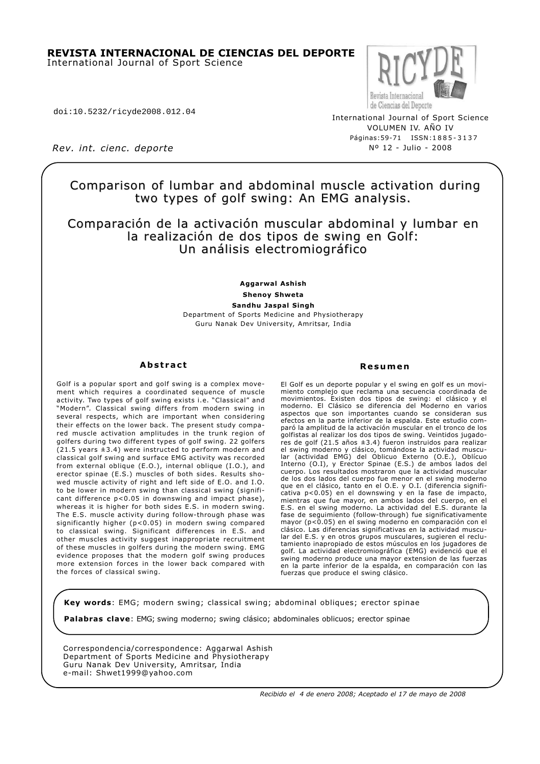#### **REVISTA INTERNACIONAL DE CIENCIAS DEL DEPORTE** International Journal of Sport Science

doi:10.5232/ricyde2008.012.04

Revista Internaciona de Ciencias del Deporte

International Journal of Sport Science VOLUMEN IV. AÑO IV Páginas:59-71 ISSN:1885-3137 Nº 12 - Julio - 2008

*Rev. int. cienc. deporte*

## Comparison of lumbar and abdominal muscle activation during two types of golf swing: An EMG analysis.

## Comparación de la activación muscular abdominal y lumbar en la realización de dos tipos de swing en Golf: Un análisis electromiográfico

**Aggarwal Ashish Shenoy Shweta Sandhu Jaspal Singh** Department of Sports Medicine and Physiotherapy Guru Nanak Dev University, Amritsar, India

#### **Abstract**

Golf is a popular sport and golf swing is a complex movement which requires a coordinated sequence of muscle activity. Two types of golf swing exists i.e. "Classical" and "Modern". Classical swing differs from modern swing in several respects, which are important when considering their effects on the lower back. The present study compared muscle activation amplitudes in the trunk region of golfers during two different types of golf swing. 22 golfers (21.5 years ±3.4) were instructed to perform modern and classical golf swing and surface EMG activity was recorded from external oblique (E.O.), internal oblique (I.O.), and erector spinae (E.S.) muscles of both sides. Results showed muscle activity of right and left side of E.O. and I.O. to be lower in modern swing than classical swing (significant difference p<0.05 in downswing and impact phase), whereas it is higher for both sides E.S. in modern swing. The E.S. muscle activity during follow-through phase was significantly higher (p<0.05) in modern swing compared to classical swing. Significant differences in E.S. and other muscles activity suggest inappropriate recruitment of these muscles in golfers during the modern swing. EMG evidence proposes that the modern golf swing produces more extension forces in the lower back compared with the forces of classical swing.

#### **Resumen**

El Golf es un deporte popular y el swing en golf es un movimiento complejo que reclama una secuencia coordinada de movimientos. Existen dos tipos de swing: el clásico y el moderno. El Clásico se diferencia del Moderno en varios aspectos que son importantes cuando se consideran sus efectos en la parte inferior de la espalda. Este estudio comparó la amplitud de la activación muscular en el tronco de los golfistas al realizar los dos tipos de swing. Veintidos jugadores de golf (21.5 años ±3.4) fueron instruidos para realizar el swing moderno y clásico, tomándose la actividad muscular (actividad EMG) del Oblicuo Externo (O.E.), Oblícuo Interno (O.I), y Erector Spinae (E.S.) de ambos lados del cuerpo. Los resultados mostraron que la actividad muscular de los dos lados del cuerpo fue menor en el swing moderno que en el clásico, tanto en el O.E. y O.I. (diferencia significativa p<0.05) en el downswing y en la fase de impacto, mientras que fue mayor, en ambos lados del cuerpo, en el E.S. en el swing moderno. La actividad del E.S. durante la fase de seguimiento (follow-through) fue significativamente mayor (p<0.05) en el swing moderno en comparación con el clásico. Las diferencias significativas en la actividad muscular del E.S. y en otros grupos musculares, sugieren el reclutamiento inapropiado de estos músculos en los jugadores de golf. La actividad electromiográfica (EMG) evidenció que el swing moderno produce una mayor extension de las fuerzas en la parte inferior de la espalda, en comparación con las fuerzas que produce el swing clásico.

**Key words**: EMG; modern swing; classical swing; abdominal obliques; erector spinae

**Palabras clave**: EMG; swing moderno; swing clásico; abdominales oblicuos; erector spinae

Correspondencia/correspondence: Aggarwal Ashish Department of Sports Medicine and Physiotherapy Guru Nanak Dev University, Amritsar, India e-mail: Shwet1999@yahoo.com

*Recibido el 4 de enero 2008; Aceptado el 17 de mayo de 2008*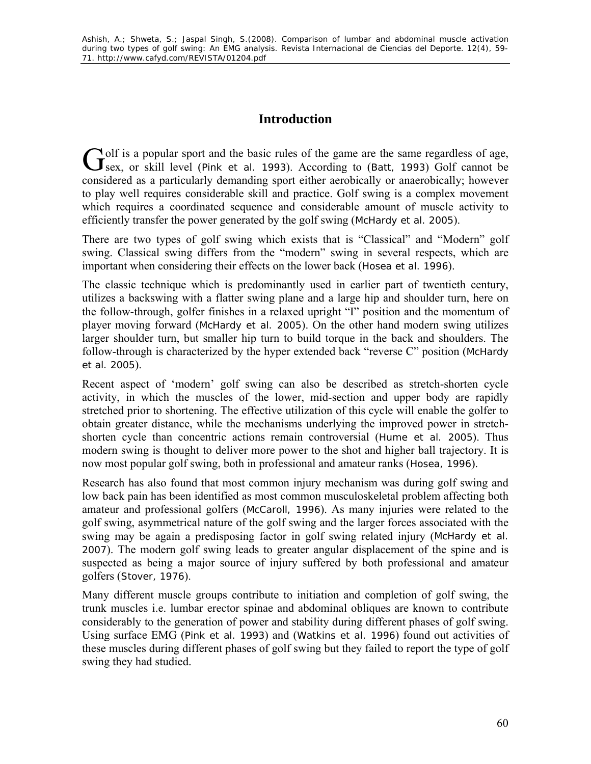# **Introduction**

 $\Delta$  olf is a popular sport and the basic rules of the game are the same regardless of age, Golf is a popular sport and the basic rules of the game are the same regardless of age, Sex, or skill level (Pink et al. 1993). According to (Batt, 1993) Golf cannot be considered as a particularly demanding sport either aerobically or anaerobically; however to play well requires considerable skill and practice. Golf swing is a complex movement which requires a coordinated sequence and considerable amount of muscle activity to efficiently transfer the power generated by the golf swing (McHardy et al. 2005).

There are two types of golf swing which exists that is "Classical" and "Modern" golf swing. Classical swing differs from the "modern" swing in several respects, which are important when considering their effects on the lower back (Hosea et al. 1996).

The classic technique which is predominantly used in earlier part of twentieth century, utilizes a backswing with a flatter swing plane and a large hip and shoulder turn, here on the follow-through, golfer finishes in a relaxed upright "I" position and the momentum of player moving forward (McHardy et al. 2005). On the other hand modern swing utilizes larger shoulder turn, but smaller hip turn to build torque in the back and shoulders. The follow-through is characterized by the hyper extended back "reverse C" position (McHardy et al. 2005).

Recent aspect of 'modern' golf swing can also be described as stretch-shorten cycle activity, in which the muscles of the lower, mid-section and upper body are rapidly stretched prior to shortening. The effective utilization of this cycle will enable the golfer to obtain greater distance, while the mechanisms underlying the improved power in stretchshorten cycle than concentric actions remain controversial (Hume et al. 2005). Thus modern swing is thought to deliver more power to the shot and higher ball trajectory. It is now most popular golf swing, both in professional and amateur ranks (Hosea, 1996).

Research has also found that most common injury mechanism was during golf swing and low back pain has been identified as most common musculoskeletal problem affecting both amateur and professional golfers (McCaroll, 1996). As many injuries were related to the golf swing, asymmetrical nature of the golf swing and the larger forces associated with the swing may be again a predisposing factor in golf swing related injury (McHardy et al. 2007). The modern golf swing leads to greater angular displacement of the spine and is suspected as being a major source of injury suffered by both professional and amateur golfers (Stover, 1976).

Many different muscle groups contribute to initiation and completion of golf swing, the trunk muscles i.e. lumbar erector spinae and abdominal obliques are known to contribute considerably to the generation of power and stability during different phases of golf swing. Using surface EMG (Pink et al. 1993) and (Watkins et al. 1996) found out activities of these muscles during different phases of golf swing but they failed to report the type of golf swing they had studied.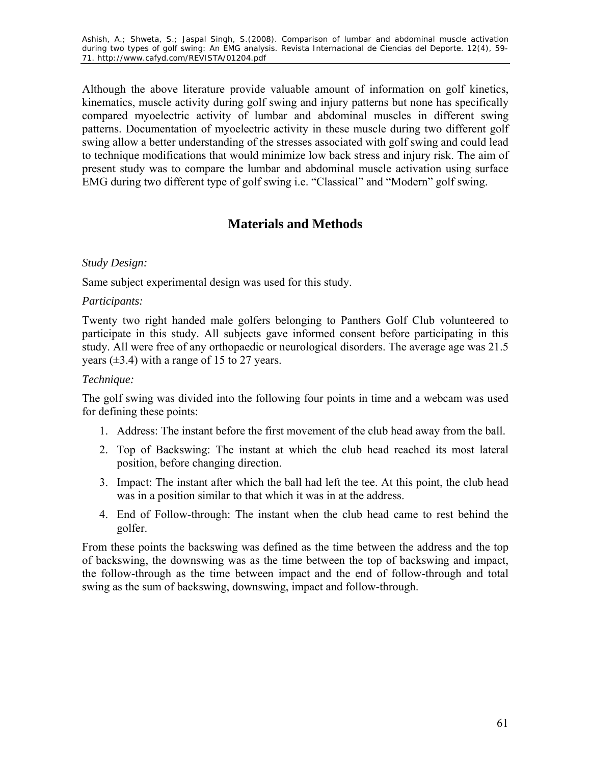Ashish, A.; Shweta, S.; Jaspal Singh, S.(2008). Comparison of lumbar and abdominal muscle activation during two types of golf swing: An EMG analysis. *Revista Internacional de Ciencias del Deporte.* 12(4), 59- 71. http://www.cafyd.com/REVISTA/01204.pdf

Although the above literature provide valuable amount of information on golf kinetics, kinematics, muscle activity during golf swing and injury patterns but none has specifically compared myoelectric activity of lumbar and abdominal muscles in different swing patterns. Documentation of myoelectric activity in these muscle during two different golf swing allow a better understanding of the stresses associated with golf swing and could lead to technique modifications that would minimize low back stress and injury risk. The aim of present study was to compare the lumbar and abdominal muscle activation using surface EMG during two different type of golf swing i.e. "Classical" and "Modern" golf swing.

# **Materials and Methods**

#### *Study Design:*

Same subject experimental design was used for this study.

#### *Participants:*

Twenty two right handed male golfers belonging to Panthers Golf Club volunteered to participate in this study. All subjects gave informed consent before participating in this study. All were free of any orthopaedic or neurological disorders. The average age was 21.5 years  $(\pm 3.4)$  with a range of 15 to 27 years.

#### *Technique:*

The golf swing was divided into the following four points in time and a webcam was used for defining these points:

- 1. Address: The instant before the first movement of the club head away from the ball.
- 2. Top of Backswing: The instant at which the club head reached its most lateral position, before changing direction.
- 3. Impact: The instant after which the ball had left the tee. At this point, the club head was in a position similar to that which it was in at the address.
- 4. End of Follow-through: The instant when the club head came to rest behind the golfer.

From these points the backswing was defined as the time between the address and the top of backswing, the downswing was as the time between the top of backswing and impact, the follow-through as the time between impact and the end of follow-through and total swing as the sum of backswing, downswing, impact and follow-through.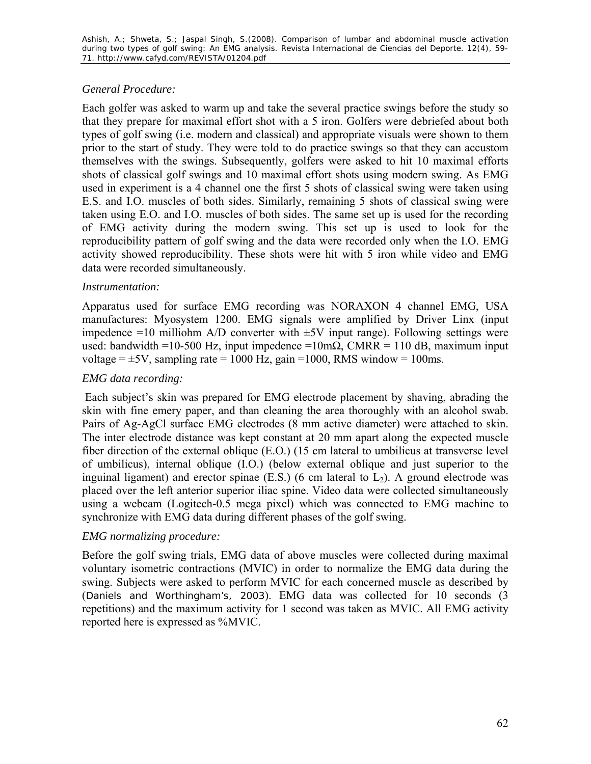## *General Procedure:*

Each golfer was asked to warm up and take the several practice swings before the study so that they prepare for maximal effort shot with a 5 iron. Golfers were debriefed about both types of golf swing (i.e. modern and classical) and appropriate visuals were shown to them prior to the start of study. They were told to do practice swings so that they can accustom themselves with the swings. Subsequently, golfers were asked to hit 10 maximal efforts shots of classical golf swings and 10 maximal effort shots using modern swing. As EMG used in experiment is a 4 channel one the first 5 shots of classical swing were taken using E.S. and I.O. muscles of both sides. Similarly, remaining 5 shots of classical swing were taken using E.O. and I.O. muscles of both sides. The same set up is used for the recording of EMG activity during the modern swing. This set up is used to look for the reproducibility pattern of golf swing and the data were recorded only when the I.O. EMG activity showed reproducibility. These shots were hit with 5 iron while video and EMG data were recorded simultaneously.

## *Instrumentation:*

Apparatus used for surface EMG recording was NORAXON 4 channel EMG, USA manufactures: Myosystem 1200. EMG signals were amplified by Driver Linx (input impedence  $=10$  milliohm A/D converter with  $\pm 5V$  input range). Following settings were used: bandwidth =10-500 Hz, input impedence =10m $\Omega$ , CMRR = 110 dB, maximum input voltage  $=\pm 5V$ , sampling rate  $= 1000$  Hz, gain  $= 1000$ , RMS window  $= 100$ ms.

#### *EMG data recording:*

 Each subject's skin was prepared for EMG electrode placement by shaving, abrading the skin with fine emery paper, and than cleaning the area thoroughly with an alcohol swab. Pairs of Ag-AgCl surface EMG electrodes (8 mm active diameter) were attached to skin. The inter electrode distance was kept constant at 20 mm apart along the expected muscle fiber direction of the external oblique (E.O.) (15 cm lateral to umbilicus at transverse level of umbilicus), internal oblique (I.O.) (below external oblique and just superior to the inguinal ligament) and erector spinae (E.S.) (6 cm lateral to  $L_2$ ). A ground electrode was placed over the left anterior superior iliac spine. Video data were collected simultaneously using a webcam (Logitech-0.5 mega pixel) which was connected to EMG machine to synchronize with EMG data during different phases of the golf swing.

## *EMG normalizing procedure:*

Before the golf swing trials, EMG data of above muscles were collected during maximal voluntary isometric contractions (MVIC) in order to normalize the EMG data during the swing. Subjects were asked to perform MVIC for each concerned muscle as described by (Daniels and Worthingham's, 2003). EMG data was collected for 10 seconds (3 repetitions) and the maximum activity for 1 second was taken as MVIC. All EMG activity reported here is expressed as %MVIC.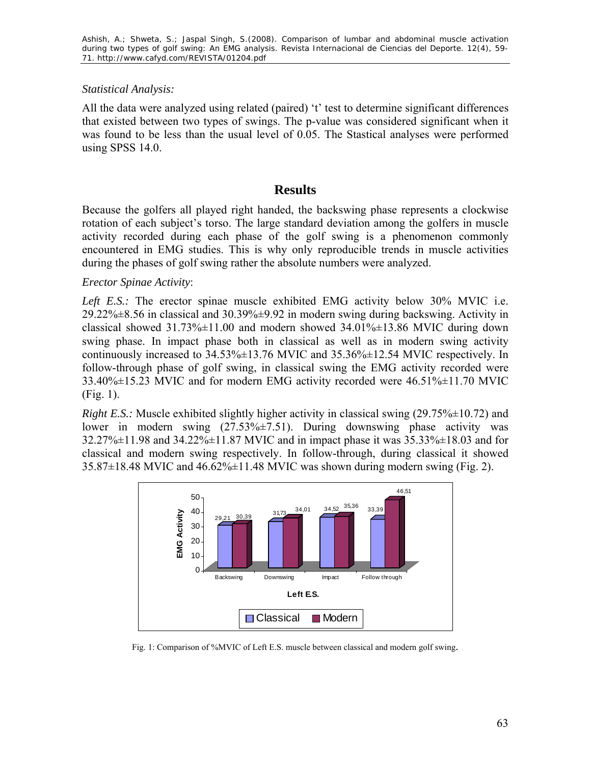## *Statistical Analysis:*

All the data were analyzed using related (paired) 't' test to determine significant differences that existed between two types of swings. The p-value was considered significant when it was found to be less than the usual level of 0.05. The Stastical analyses were performed using SPSS 14.0.

## **Results**

Because the golfers all played right handed, the backswing phase represents a clockwise rotation of each subject's torso. The large standard deviation among the golfers in muscle activity recorded during each phase of the golf swing is a phenomenon commonly encountered in EMG studies. This is why only reproducible trends in muscle activities during the phases of golf swing rather the absolute numbers were analyzed.

## *Erector Spinae Activity*:

*Left E.S.:* The erector spinae muscle exhibited EMG activity below 30% MVIC i.e.  $29.22\% \pm 8.56$  in classical and  $30.39\% \pm 9.92$  in modern swing during backswing. Activity in classical showed  $31.73\% \pm 11.00$  and modern showed  $34.01\% \pm 13.86$  MVIC during down swing phase. In impact phase both in classical as well as in modern swing activity continuously increased to 34.53%±13.76 MVIC and 35.36%±12.54 MVIC respectively. In follow-through phase of golf swing, in classical swing the EMG activity recorded were  $33.40\% \pm 15.23$  MVIC and for modern EMG activity recorded were  $46.51\% \pm 11.70$  MVIC (Fig. 1).

*Right E.S.:* Muscle exhibited slightly higher activity in classical swing (29.75% $\pm$ 10.72) and lower in modern swing (27.53%±7.51). During downswing phase activity was 32.27%±11.98 and 34.22%±11.87 MVIC and in impact phase it was 35.33%±18.03 and for classical and modern swing respectively. In follow-through, during classical it showed  $35.87\pm18.48$  MVIC and  $46.62\% \pm 11.48$  MVIC was shown during modern swing (Fig. 2).



Fig. 1: Comparison of %MVIC of Left E.S. muscle between classical and modern golf swing.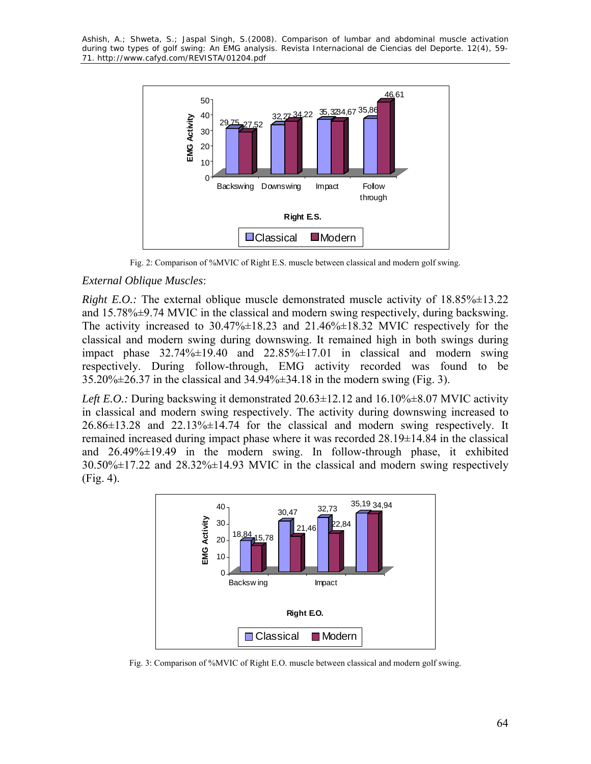Ashish, A.; Shweta, S.; Jaspal Singh, S.(2008). Comparison of lumbar and abdominal muscle activation during two types of golf swing: An EMG analysis. *Revista Internacional de Ciencias del Deporte.* 12(4), 59- 71. http://www.cafyd.com/REVISTA/01204.pdf



Fig. 2: Comparison of %MVIC of Right E.S. muscle between classical and modern golf swing.

#### *External Oblique Muscles*:

*Right E.O.:* The external oblique muscle demonstrated muscle activity of  $18.85\% \pm 13.22$ and 15.78%±9.74 MVIC in the classical and modern swing respectively, during backswing. The activity increased to  $30.47\% \pm 18.23$  and  $21.46\% \pm 18.32$  MVIC respectively for the classical and modern swing during downswing. It remained high in both swings during impact phase  $32.74\% \pm 19.40$  and  $22.85\% \pm 17.01$  in classical and modern swing respectively. During follow-through, EMG activity recorded was found to be 35.20%±26.37 in the classical and 34.94%±34.18 in the modern swing (Fig. 3).

*Left E.O.: During backswing it demonstrated 20.63±12.12 and 16.10%±8.07 MVIC activity* in classical and modern swing respectively. The activity during downswing increased to 26.86±13.28 and 22.13%±14.74 for the classical and modern swing respectively. It remained increased during impact phase where it was recorded 28.19±14.84 in the classical and 26.49%±19.49 in the modern swing. In follow-through phase, it exhibited 30.50%±17.22 and 28.32%±14.93 MVIC in the classical and modern swing respectively (Fig. 4).



Fig. 3: Comparison of %MVIC of Right E.O. muscle between classical and modern golf swing.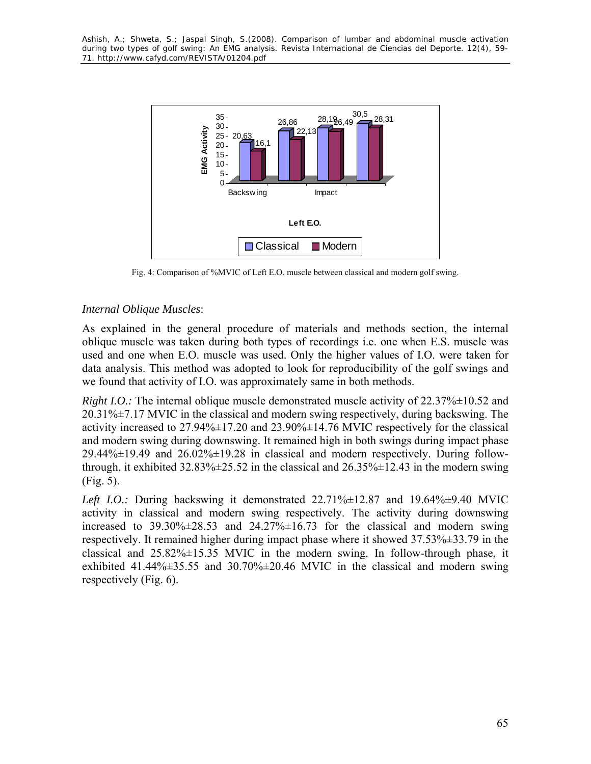

Fig. 4: Comparison of %MVIC of Left E.O. muscle between classical and modern golf swing.

## *Internal Oblique Muscles*:

As explained in the general procedure of materials and methods section, the internal oblique muscle was taken during both types of recordings i.e. one when E.S. muscle was used and one when E.O. muscle was used. Only the higher values of I.O. were taken for data analysis. This method was adopted to look for reproducibility of the golf swings and we found that activity of I.O. was approximately same in both methods.

*Right I.O.:* The internal oblique muscle demonstrated muscle activity of 22.37% $\pm$ 10.52 and 20.31%±7.17 MVIC in the classical and modern swing respectively, during backswing. The activity increased to  $27.94\% \pm 17.20$  and  $23.90\% \pm 14.76$  MVIC respectively for the classical and modern swing during downswing. It remained high in both swings during impact phase  $29.44\% \pm 19.49$  and  $26.02\% \pm 19.28$  in classical and modern respectively. During followthrough, it exhibited  $32.83\% \pm 25.52$  in the classical and  $26.35\% \pm 12.43$  in the modern swing (Fig. 5).

*Left I.O.:* During backswing it demonstrated  $22.71\% \pm 12.87$  and  $19.64\% \pm 9.40$  MVIC activity in classical and modern swing respectively. The activity during downswing increased to  $39.30\% \pm 28.53$  and  $24.27\% \pm 16.73$  for the classical and modern swing respectively. It remained higher during impact phase where it showed 37.53%±33.79 in the classical and  $25.82\% \pm 15.35$  MVIC in the modern swing. In follow-through phase, it exhibited 41.44% $\pm$ 35.55 and 30.70% $\pm$ 20.46 MVIC in the classical and modern swing respectively (Fig. 6).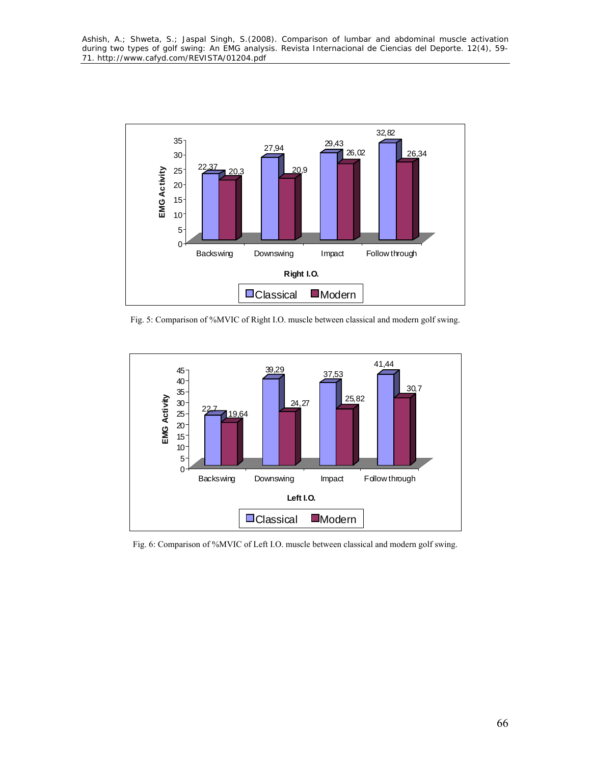

Fig. 5: Comparison of %MVIC of Right I.O. muscle between classical and modern golf swing.



Fig. 6: Comparison of %MVIC of Left I.O. muscle between classical and modern golf swing.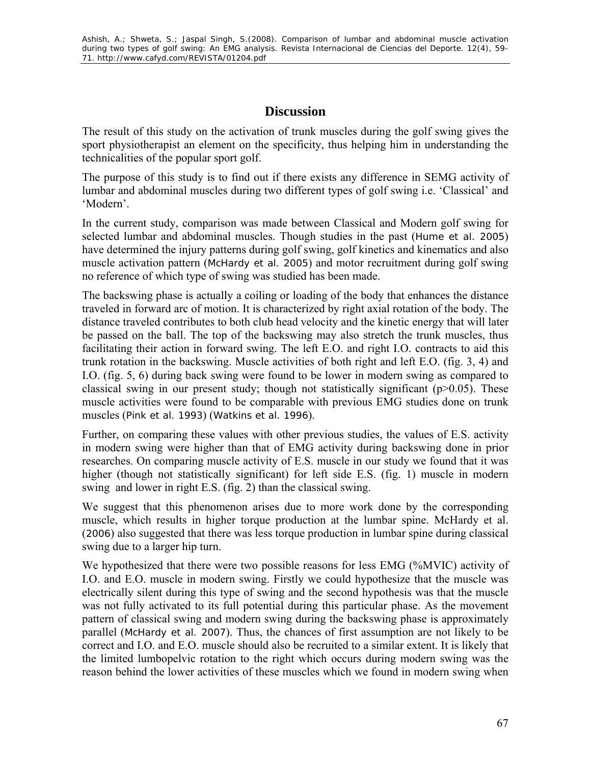# **Discussion**

The result of this study on the activation of trunk muscles during the golf swing gives the sport physiotherapist an element on the specificity, thus helping him in understanding the technicalities of the popular sport golf.

The purpose of this study is to find out if there exists any difference in SEMG activity of lumbar and abdominal muscles during two different types of golf swing i.e. 'Classical' and 'Modern'.

In the current study, comparison was made between Classical and Modern golf swing for selected lumbar and abdominal muscles. Though studies in the past (Hume et al. 2005) have determined the injury patterns during golf swing, golf kinetics and kinematics and also muscle activation pattern (McHardy et al. 2005) and motor recruitment during golf swing no reference of which type of swing was studied has been made.

The backswing phase is actually a coiling or loading of the body that enhances the distance traveled in forward arc of motion. It is characterized by right axial rotation of the body. The distance traveled contributes to both club head velocity and the kinetic energy that will later be passed on the ball. The top of the backswing may also stretch the trunk muscles, thus facilitating their action in forward swing. The left E.O. and right I.O. contracts to aid this trunk rotation in the backswing. Muscle activities of both right and left E.O. (fig. 3, 4) and I.O. (fig. 5, 6) during back swing were found to be lower in modern swing as compared to classical swing in our present study; though not statistically significant ( $p$  $> 0.05$ ). These muscle activities were found to be comparable with previous EMG studies done on trunk muscles (Pink et al. 1993) (Watkins et al. 1996).

Further, on comparing these values with other previous studies, the values of E.S. activity in modern swing were higher than that of EMG activity during backswing done in prior researches. On comparing muscle activity of E.S. muscle in our study we found that it was higher (though not statistically significant) for left side E.S. (fig. 1) muscle in modern swing and lower in right E.S. (fig. 2) than the classical swing.

We suggest that this phenomenon arises due to more work done by the corresponding muscle, which results in higher torque production at the lumbar spine. McHardy et al. (2006) also suggested that there was less torque production in lumbar spine during classical swing due to a larger hip turn.

We hypothesized that there were two possible reasons for less EMG (%MVIC) activity of I.O. and E.O. muscle in modern swing. Firstly we could hypothesize that the muscle was electrically silent during this type of swing and the second hypothesis was that the muscle was not fully activated to its full potential during this particular phase. As the movement pattern of classical swing and modern swing during the backswing phase is approximately parallel (McHardy et al. 2007). Thus, the chances of first assumption are not likely to be correct and I.O. and E.O. muscle should also be recruited to a similar extent. It is likely that the limited lumbopelvic rotation to the right which occurs during modern swing was the reason behind the lower activities of these muscles which we found in modern swing when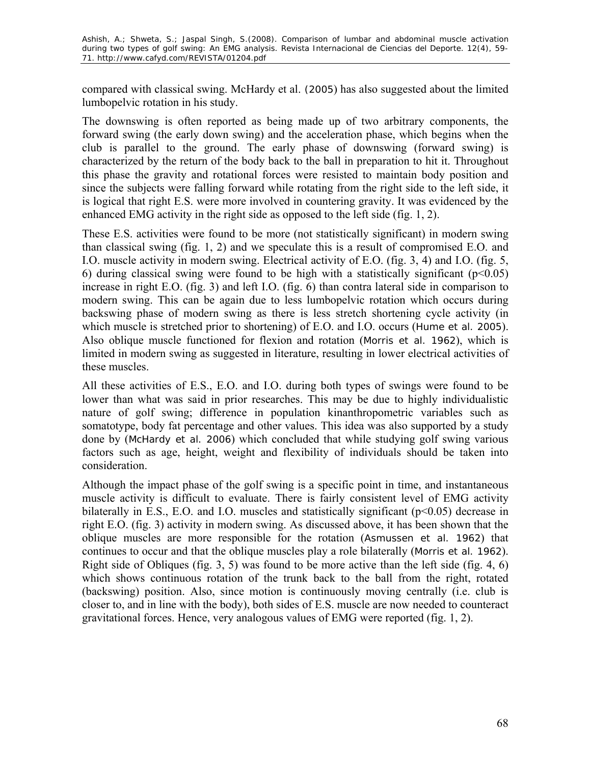compared with classical swing. McHardy et al. (2005) has also suggested about the limited lumbopelvic rotation in his study.

The downswing is often reported as being made up of two arbitrary components, the forward swing (the early down swing) and the acceleration phase, which begins when the club is parallel to the ground. The early phase of downswing (forward swing) is characterized by the return of the body back to the ball in preparation to hit it. Throughout this phase the gravity and rotational forces were resisted to maintain body position and since the subjects were falling forward while rotating from the right side to the left side, it is logical that right E.S. were more involved in countering gravity. It was evidenced by the enhanced EMG activity in the right side as opposed to the left side (fig. 1, 2).

These E.S. activities were found to be more (not statistically significant) in modern swing than classical swing (fig. 1, 2) and we speculate this is a result of compromised E.O. and I.O. muscle activity in modern swing. Electrical activity of E.O. (fig. 3, 4) and I.O. (fig. 5, 6) during classical swing were found to be high with a statistically significant ( $p \le 0.05$ ) increase in right E.O. (fig. 3) and left I.O. (fig. 6) than contra lateral side in comparison to modern swing. This can be again due to less lumbopelvic rotation which occurs during backswing phase of modern swing as there is less stretch shortening cycle activity (in which muscle is stretched prior to shortening) of E.O. and I.O. occurs (Hume et al. 2005). Also oblique muscle functioned for flexion and rotation (Morris et al. 1962), which is limited in modern swing as suggested in literature, resulting in lower electrical activities of these muscles.

All these activities of E.S., E.O. and I.O. during both types of swings were found to be lower than what was said in prior researches. This may be due to highly individualistic nature of golf swing; difference in population kinanthropometric variables such as somatotype, body fat percentage and other values. This idea was also supported by a study done by (McHardy et al. 2006) which concluded that while studying golf swing various factors such as age, height, weight and flexibility of individuals should be taken into consideration.

Although the impact phase of the golf swing is a specific point in time, and instantaneous muscle activity is difficult to evaluate. There is fairly consistent level of EMG activity bilaterally in E.S., E.O. and I.O. muscles and statistically significant  $(p<0.05)$  decrease in right E.O. (fig. 3) activity in modern swing. As discussed above, it has been shown that the oblique muscles are more responsible for the rotation (Asmussen et al. 1962) that continues to occur and that the oblique muscles play a role bilaterally (Morris et al. 1962). Right side of Obliques (fig. 3, 5) was found to be more active than the left side (fig. 4, 6) which shows continuous rotation of the trunk back to the ball from the right, rotated (backswing) position. Also, since motion is continuously moving centrally (i.e. club is closer to, and in line with the body), both sides of E.S. muscle are now needed to counteract gravitational forces. Hence, very analogous values of EMG were reported (fig. 1, 2).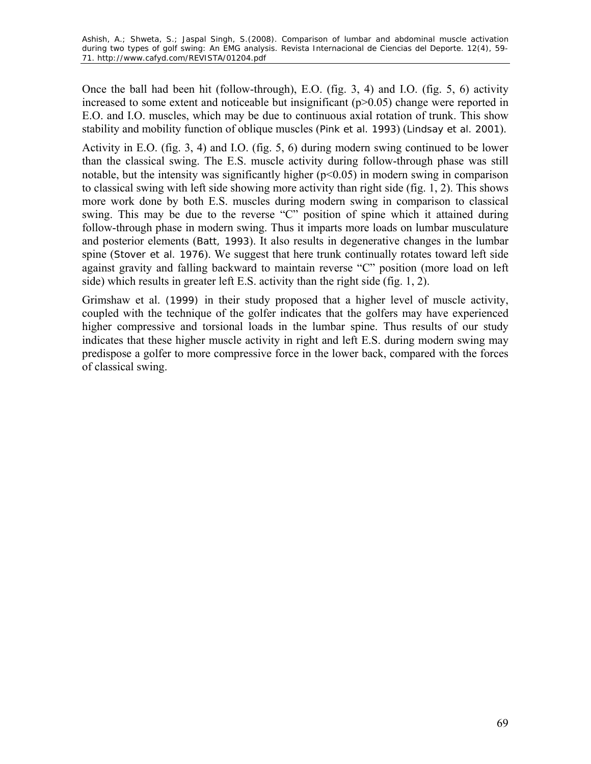Once the ball had been hit (follow-through), E.O. (fig. 3, 4) and I.O. (fig. 5, 6) activity increased to some extent and noticeable but insignificant  $(p>0.05)$  change were reported in E.O. and I.O. muscles, which may be due to continuous axial rotation of trunk. This show stability and mobility function of oblique muscles (Pink et al. 1993) (Lindsay et al. 2001).

Activity in E.O. (fig. 3, 4) and I.O. (fig. 5, 6) during modern swing continued to be lower than the classical swing. The E.S. muscle activity during follow-through phase was still notable, but the intensity was significantly higher  $(p<0.05)$  in modern swing in comparison to classical swing with left side showing more activity than right side (fig. 1, 2). This shows more work done by both E.S. muscles during modern swing in comparison to classical swing. This may be due to the reverse "C" position of spine which it attained during follow-through phase in modern swing. Thus it imparts more loads on lumbar musculature and posterior elements (Batt, 1993). It also results in degenerative changes in the lumbar spine (Stover et al. 1976). We suggest that here trunk continually rotates toward left side against gravity and falling backward to maintain reverse "C" position (more load on left side) which results in greater left E.S. activity than the right side (fig. 1, 2).

Grimshaw et al. (1999) in their study proposed that a higher level of muscle activity, coupled with the technique of the golfer indicates that the golfers may have experienced higher compressive and torsional loads in the lumbar spine. Thus results of our study indicates that these higher muscle activity in right and left E.S. during modern swing may predispose a golfer to more compressive force in the lower back, compared with the forces of classical swing.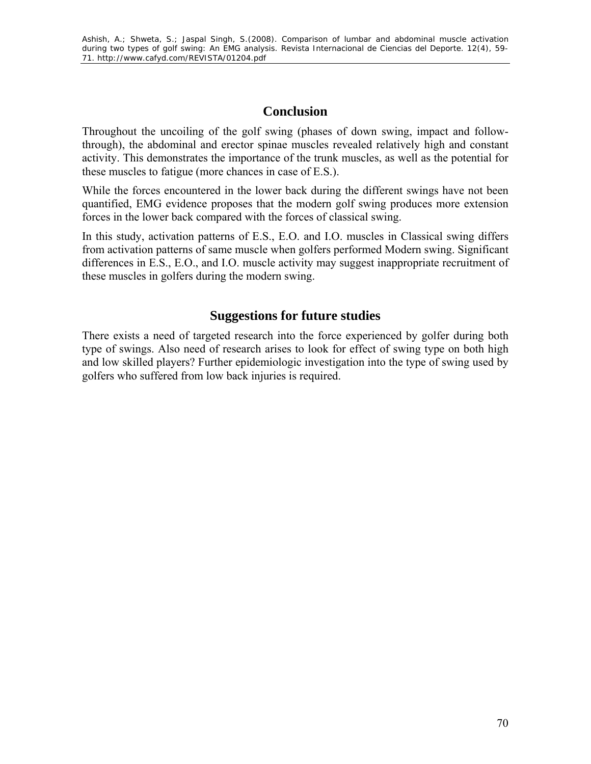# **Conclusion**

Throughout the uncoiling of the golf swing (phases of down swing, impact and followthrough), the abdominal and erector spinae muscles revealed relatively high and constant activity. This demonstrates the importance of the trunk muscles, as well as the potential for these muscles to fatigue (more chances in case of E.S.).

While the forces encountered in the lower back during the different swings have not been quantified, EMG evidence proposes that the modern golf swing produces more extension forces in the lower back compared with the forces of classical swing.

In this study, activation patterns of E.S., E.O. and I.O. muscles in Classical swing differs from activation patterns of same muscle when golfers performed Modern swing. Significant differences in E.S., E.O., and I.O. muscle activity may suggest inappropriate recruitment of these muscles in golfers during the modern swing.

# **Suggestions for future studies**

There exists a need of targeted research into the force experienced by golfer during both type of swings. Also need of research arises to look for effect of swing type on both high and low skilled players? Further epidemiologic investigation into the type of swing used by golfers who suffered from low back injuries is required.